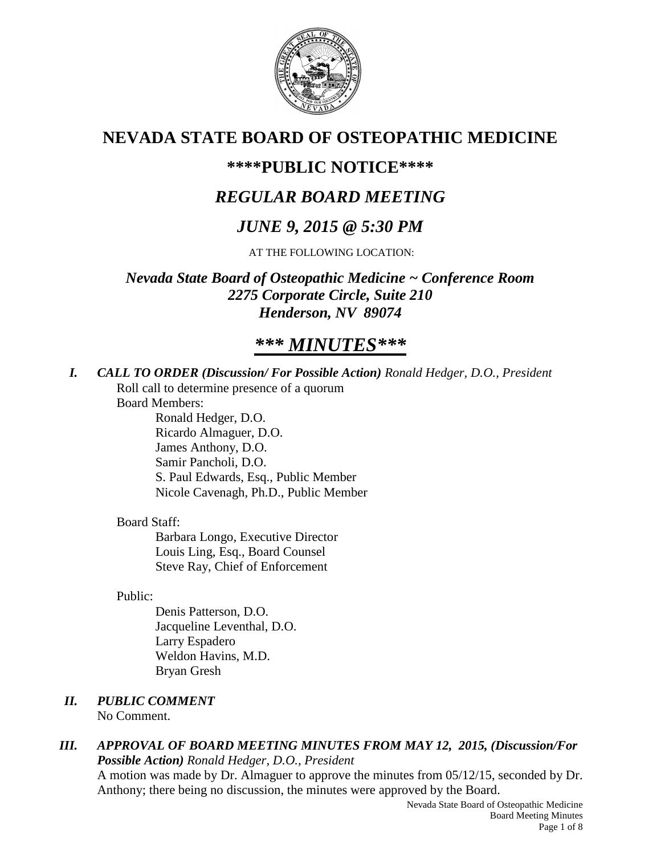

# **NEVADA STATE BOARD OF OSTEOPATHIC MEDICINE**

# **\*\*\*\*PUBLIC NOTICE\*\*\*\***

# *REGULAR BOARD MEETING*

# *JUNE 9, 2015 @ 5:30 PM*

AT THE FOLLOWING LOCATION:

*Nevada State Board of Osteopathic Medicine ~ Conference Room 2275 Corporate Circle, Suite 210 Henderson, NV 89074*

# *\*\*\* MINUTES\*\*\**

*I. CALL TO ORDER (Discussion/ For Possible Action) Ronald Hedger, D.O., President* Roll call to determine presence of a quorum

Board Members:

Ronald Hedger, D.O. Ricardo Almaguer, D.O. James Anthony, D.O. Samir Pancholi, D.O. S. Paul Edwards, Esq., Public Member Nicole Cavenagh, Ph.D., Public Member

## Board Staff:

Barbara Longo, Executive Director Louis Ling, Esq., Board Counsel Steve Ray, Chief of Enforcement

Public:

Denis Patterson, D.O. Jacqueline Leventhal, D.O. Larry Espadero Weldon Havins, M.D. Bryan Gresh

- *II. PUBLIC COMMENT* No Comment.
- *III. APPROVAL OF BOARD MEETING MINUTES FROM MAY 12, 2015, (Discussion/For Possible Action) Ronald Hedger, D.O., President* A motion was made by Dr. Almaguer to approve the minutes from 05/12/15, seconded by Dr.

Anthony; there being no discussion, the minutes were approved by the Board.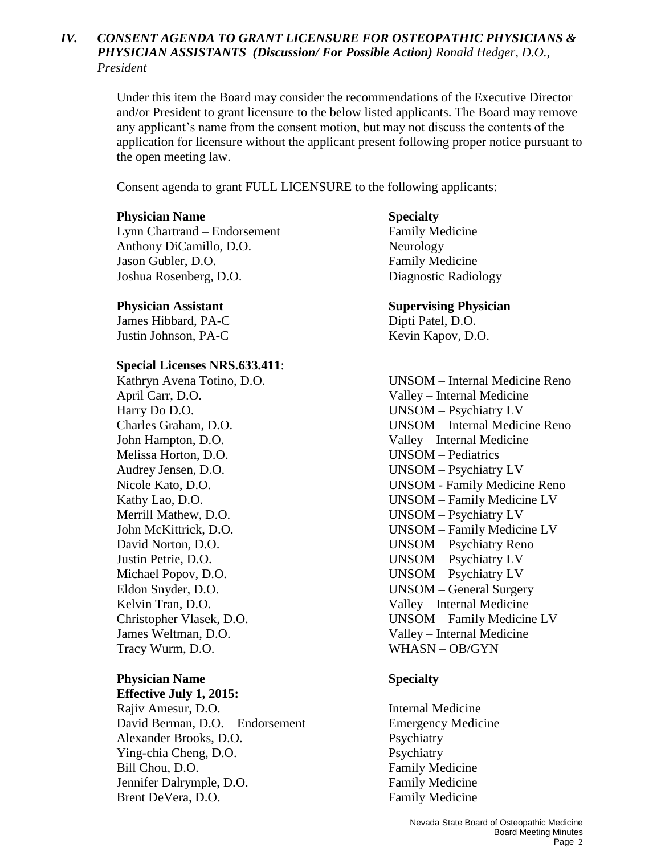## *IV. CONSENT AGENDA TO GRANT LICENSURE FOR OSTEOPATHIC PHYSICIANS & PHYSICIAN ASSISTANTS (Discussion/ For Possible Action) Ronald Hedger, D.O., President*

Under this item the Board may consider the recommendations of the Executive Director and/or President to grant licensure to the below listed applicants. The Board may remove any applicant's name from the consent motion, but may not discuss the contents of the application for licensure without the applicant present following proper notice pursuant to the open meeting law.

Consent agenda to grant FULL LICENSURE to the following applicants:

## **Physician Name Specialty**

Lynn Chartrand – Endorsement Family Medicine Anthony DiCamillo, D.O. Neurology Jason Gubler, D.O. **Family Medicine** Joshua Rosenberg, D.O. Diagnostic Radiology

James Hibbard, PA-C Dipti Patel, D.O. Justin Johnson, PA-C Kevin Kapov, D.O.

## **Special Licenses NRS.633.411**:

April Carr, D.O. Valley – Internal Medicine Harry Do D.O. UNSOM – Psychiatry LV John Hampton, D.O. Valley – Internal Medicine Melissa Horton, D.O. UNSOM – Pediatrics Audrey Jensen, D.O. UNSOM – Psychiatry LV Merrill Mathew, D.O. UNSOM – Psychiatry LV Justin Petrie, D.O. UNSOM – Psychiatry LV Michael Popov, D.O. UNSOM – Psychiatry LV Kelvin Tran, D.O. Valley – Internal Medicine James Weltman, D.O. Valley – Internal Medicine Tracy Wurm, D.O. WHASN – OB/GYN

## **Physician Name Specialty**

**Effective July 1, 2015:** Rajiv Amesur, D.O. **Internal Medicine** David Berman, D.O. – Endorsement Emergency Medicine Alexander Brooks, D.O. Psychiatry Ying-chia Cheng, D.O. Psychiatry Bill Chou, D.O. **Family Medicine** Jennifer Dalrymple, D.O. Family Medicine Brent DeVera, D.O. **Family Medicine** 

## **Physician Assistant Supervising Physician**

Kathryn Avena Totino, D.O. UNSOM – Internal Medicine Reno Charles Graham, D.O. UNSOM – Internal Medicine Reno Nicole Kato, D.O. UNSOM - Family Medicine Reno Kathy Lao, D.O. UNSOM – Family Medicine LV John McKittrick, D.O. UNSOM – Family Medicine LV David Norton, D.O. UNSOM – Psychiatry Reno Eldon Snyder, D.O. UNSOM – General Surgery Christopher Vlasek, D.O. UNSOM – Family Medicine LV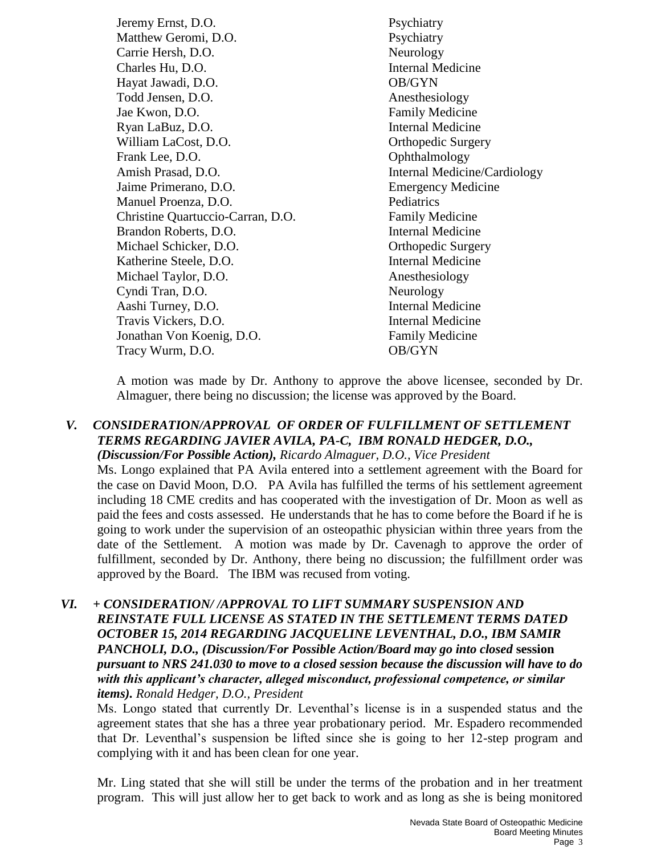Jeremy Ernst, D.O. Psychiatry Matthew Geromi, D.O. Psychiatry Carrie Hersh, D.O. Neurology Charles Hu, D.O. Internal Medicine Hayat Jawadi, D.O. OB/GYN Todd Jensen, D.O. Anesthesiology Jae Kwon, D.O. Family Medicine Ryan LaBuz, D.O. **Internal Medicine** William LaCost, D.O. **Orthopedic Surgery** Frank Lee, D.O. Communication Communication Communication Communication Communication Communication Communication Communication Communication Communication Communication Communication Communication Communication Communicat Amish Prasad, D.O. Internal Medicine/Cardiology Jaime Primerano, D.O. Emergency Medicine Manuel Proenza, D.O. Pediatrics Christine Quartuccio-Carran, D.O. Family Medicine Brandon Roberts, D.O. **Internal Medicine** Michael Schicker, D.O. **Orthopedic Surgery** Katherine Steele, D.O. Internal Medicine Michael Taylor, D.O. Anesthesiology Cyndi Tran, D.O. Neurology Aashi Turney, D.O. **Internal Medicine** Travis Vickers, D.O. **Internal Medicine** Jonathan Von Koenig, D.O. Family Medicine Tracy Wurm, D.O. **OB/GYN** 

A motion was made by Dr. Anthony to approve the above licensee, seconded by Dr. Almaguer, there being no discussion; the license was approved by the Board.

### *V. CONSIDERATION/APPROVAL OF ORDER OF FULFILLMENT OF SETTLEMENT TERMS REGARDING JAVIER AVILA, PA-C, IBM RONALD HEDGER, D.O., (Discussion/For Possible Action), Ricardo Almaguer, D.O., Vice President*

Ms. Longo explained that PA Avila entered into a settlement agreement with the Board for the case on David Moon, D.O. PA Avila has fulfilled the terms of his settlement agreement including 18 CME credits and has cooperated with the investigation of Dr. Moon as well as paid the fees and costs assessed. He understands that he has to come before the Board if he is going to work under the supervision of an osteopathic physician within three years from the date of the Settlement. A motion was made by Dr. Cavenagh to approve the order of fulfillment, seconded by Dr. Anthony, there being no discussion; the fulfillment order was approved by the Board. The IBM was recused from voting.

*VI. + CONSIDERATION/ /APPROVAL TO LIFT SUMMARY SUSPENSION AND REINSTATE FULL LICENSE AS STATED IN THE SETTLEMENT TERMS DATED OCTOBER 15, 2014 REGARDING JACQUELINE LEVENTHAL, D.O., IBM SAMIR PANCHOLI, D.O., (Discussion/For Possible Action/Board may go into closed* **session** *pursuant to NRS 241.030 to move to a closed session because the discussion will have to do with this applicant's character, alleged misconduct, professional competence, or similar items). Ronald Hedger, D.O., President*

Ms. Longo stated that currently Dr. Leventhal's license is in a suspended status and the agreement states that she has a three year probationary period. Mr. Espadero recommended that Dr. Leventhal's suspension be lifted since she is going to her 12-step program and complying with it and has been clean for one year.

Mr. Ling stated that she will still be under the terms of the probation and in her treatment program. This will just allow her to get back to work and as long as she is being monitored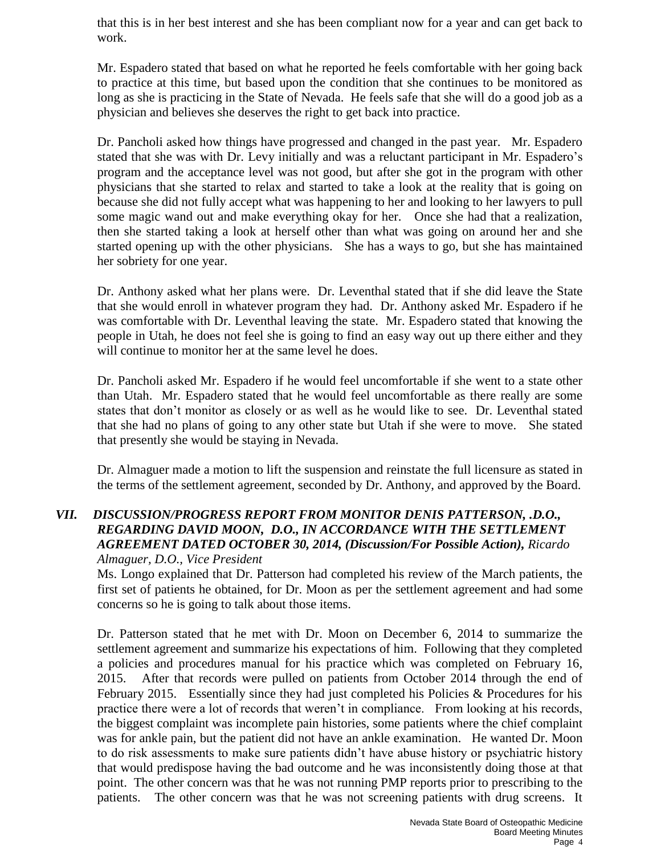that this is in her best interest and she has been compliant now for a year and can get back to work.

Mr. Espadero stated that based on what he reported he feels comfortable with her going back to practice at this time, but based upon the condition that she continues to be monitored as long as she is practicing in the State of Nevada. He feels safe that she will do a good job as a physician and believes she deserves the right to get back into practice.

Dr. Pancholi asked how things have progressed and changed in the past year. Mr. Espadero stated that she was with Dr. Levy initially and was a reluctant participant in Mr. Espadero's program and the acceptance level was not good, but after she got in the program with other physicians that she started to relax and started to take a look at the reality that is going on because she did not fully accept what was happening to her and looking to her lawyers to pull some magic wand out and make everything okay for her. Once she had that a realization, then she started taking a look at herself other than what was going on around her and she started opening up with the other physicians. She has a ways to go, but she has maintained her sobriety for one year.

Dr. Anthony asked what her plans were. Dr. Leventhal stated that if she did leave the State that she would enroll in whatever program they had. Dr. Anthony asked Mr. Espadero if he was comfortable with Dr. Leventhal leaving the state. Mr. Espadero stated that knowing the people in Utah, he does not feel she is going to find an easy way out up there either and they will continue to monitor her at the same level he does.

Dr. Pancholi asked Mr. Espadero if he would feel uncomfortable if she went to a state other than Utah. Mr. Espadero stated that he would feel uncomfortable as there really are some states that don't monitor as closely or as well as he would like to see. Dr. Leventhal stated that she had no plans of going to any other state but Utah if she were to move. She stated that presently she would be staying in Nevada.

Dr. Almaguer made a motion to lift the suspension and reinstate the full licensure as stated in the terms of the settlement agreement, seconded by Dr. Anthony, and approved by the Board.

## *VII. DISCUSSION/PROGRESS REPORT FROM MONITOR DENIS PATTERSON, .D.O., REGARDING DAVID MOON, D.O., IN ACCORDANCE WITH THE SETTLEMENT AGREEMENT DATED OCTOBER 30, 2014, (Discussion/For Possible Action), Ricardo Almaguer, D.O., Vice President*

Ms. Longo explained that Dr. Patterson had completed his review of the March patients, the first set of patients he obtained, for Dr. Moon as per the settlement agreement and had some concerns so he is going to talk about those items.

Dr. Patterson stated that he met with Dr. Moon on December 6, 2014 to summarize the settlement agreement and summarize his expectations of him. Following that they completed a policies and procedures manual for his practice which was completed on February 16, 2015. After that records were pulled on patients from October 2014 through the end of February 2015. Essentially since they had just completed his Policies & Procedures for his practice there were a lot of records that weren't in compliance. From looking at his records, the biggest complaint was incomplete pain histories, some patients where the chief complaint was for ankle pain, but the patient did not have an ankle examination. He wanted Dr. Moon to do risk assessments to make sure patients didn't have abuse history or psychiatric history that would predispose having the bad outcome and he was inconsistently doing those at that point. The other concern was that he was not running PMP reports prior to prescribing to the patients. The other concern was that he was not screening patients with drug screens. It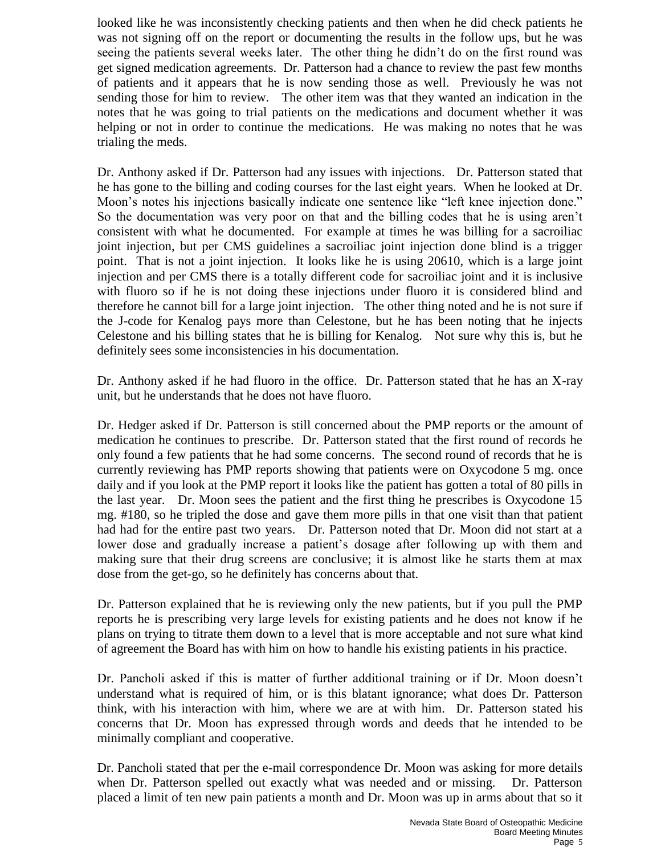looked like he was inconsistently checking patients and then when he did check patients he was not signing off on the report or documenting the results in the follow ups, but he was seeing the patients several weeks later. The other thing he didn't do on the first round was get signed medication agreements. Dr. Patterson had a chance to review the past few months of patients and it appears that he is now sending those as well. Previously he was not sending those for him to review. The other item was that they wanted an indication in the notes that he was going to trial patients on the medications and document whether it was helping or not in order to continue the medications. He was making no notes that he was trialing the meds.

Dr. Anthony asked if Dr. Patterson had any issues with injections. Dr. Patterson stated that he has gone to the billing and coding courses for the last eight years. When he looked at Dr. Moon's notes his injections basically indicate one sentence like "left knee injection done." So the documentation was very poor on that and the billing codes that he is using aren't consistent with what he documented. For example at times he was billing for a sacroiliac joint injection, but per CMS guidelines a sacroiliac joint injection done blind is a trigger point. That is not a joint injection. It looks like he is using 20610, which is a large joint injection and per CMS there is a totally different code for sacroiliac joint and it is inclusive with fluoro so if he is not doing these injections under fluoro it is considered blind and therefore he cannot bill for a large joint injection. The other thing noted and he is not sure if the J-code for Kenalog pays more than Celestone, but he has been noting that he injects Celestone and his billing states that he is billing for Kenalog. Not sure why this is, but he definitely sees some inconsistencies in his documentation.

Dr. Anthony asked if he had fluoro in the office. Dr. Patterson stated that he has an X-ray unit, but he understands that he does not have fluoro.

Dr. Hedger asked if Dr. Patterson is still concerned about the PMP reports or the amount of medication he continues to prescribe. Dr. Patterson stated that the first round of records he only found a few patients that he had some concerns. The second round of records that he is currently reviewing has PMP reports showing that patients were on Oxycodone 5 mg. once daily and if you look at the PMP report it looks like the patient has gotten a total of 80 pills in the last year. Dr. Moon sees the patient and the first thing he prescribes is Oxycodone 15 mg. #180, so he tripled the dose and gave them more pills in that one visit than that patient had had for the entire past two years. Dr. Patterson noted that Dr. Moon did not start at a lower dose and gradually increase a patient's dosage after following up with them and making sure that their drug screens are conclusive; it is almost like he starts them at max dose from the get-go, so he definitely has concerns about that.

Dr. Patterson explained that he is reviewing only the new patients, but if you pull the PMP reports he is prescribing very large levels for existing patients and he does not know if he plans on trying to titrate them down to a level that is more acceptable and not sure what kind of agreement the Board has with him on how to handle his existing patients in his practice.

Dr. Pancholi asked if this is matter of further additional training or if Dr. Moon doesn't understand what is required of him, or is this blatant ignorance; what does Dr. Patterson think, with his interaction with him, where we are at with him. Dr. Patterson stated his concerns that Dr. Moon has expressed through words and deeds that he intended to be minimally compliant and cooperative.

Dr. Pancholi stated that per the e-mail correspondence Dr. Moon was asking for more details when Dr. Patterson spelled out exactly what was needed and or missing. Dr. Patterson placed a limit of ten new pain patients a month and Dr. Moon was up in arms about that so it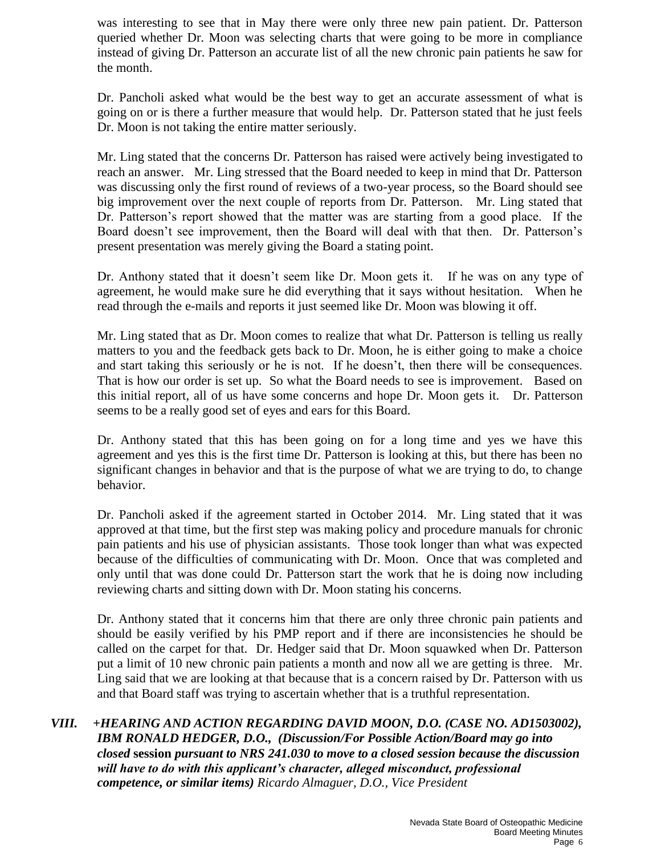was interesting to see that in May there were only three new pain patient. Dr. Patterson queried whether Dr. Moon was selecting charts that were going to be more in compliance instead of giving Dr. Patterson an accurate list of all the new chronic pain patients he saw for the month.

Dr. Pancholi asked what would be the best way to get an accurate assessment of what is going on or is there a further measure that would help. Dr. Patterson stated that he just feels Dr. Moon is not taking the entire matter seriously.

Mr. Ling stated that the concerns Dr. Patterson has raised were actively being investigated to reach an answer. Mr. Ling stressed that the Board needed to keep in mind that Dr. Patterson was discussing only the first round of reviews of a two-year process, so the Board should see big improvement over the next couple of reports from Dr. Patterson. Mr. Ling stated that Dr. Patterson's report showed that the matter was are starting from a good place. If the Board doesn't see improvement, then the Board will deal with that then. Dr. Patterson's present presentation was merely giving the Board a stating point.

Dr. Anthony stated that it doesn't seem like Dr. Moon gets it. If he was on any type of agreement, he would make sure he did everything that it says without hesitation. When he read through the e-mails and reports it just seemed like Dr. Moon was blowing it off.

Mr. Ling stated that as Dr. Moon comes to realize that what Dr. Patterson is telling us really matters to you and the feedback gets back to Dr. Moon, he is either going to make a choice and start taking this seriously or he is not. If he doesn't, then there will be consequences. That is how our order is set up. So what the Board needs to see is improvement. Based on this initial report, all of us have some concerns and hope Dr. Moon gets it. Dr. Patterson seems to be a really good set of eyes and ears for this Board.

Dr. Anthony stated that this has been going on for a long time and yes we have this agreement and yes this is the first time Dr. Patterson is looking at this, but there has been no significant changes in behavior and that is the purpose of what we are trying to do, to change behavior.

Dr. Pancholi asked if the agreement started in October 2014. Mr. Ling stated that it was approved at that time, but the first step was making policy and procedure manuals for chronic pain patients and his use of physician assistants. Those took longer than what was expected because of the difficulties of communicating with Dr. Moon. Once that was completed and only until that was done could Dr. Patterson start the work that he is doing now including reviewing charts and sitting down with Dr. Moon stating his concerns.

Dr. Anthony stated that it concerns him that there are only three chronic pain patients and should be easily verified by his PMP report and if there are inconsistencies he should be called on the carpet for that. Dr. Hedger said that Dr. Moon squawked when Dr. Patterson put a limit of 10 new chronic pain patients a month and now all we are getting is three. Mr. Ling said that we are looking at that because that is a concern raised by Dr. Patterson with us and that Board staff was trying to ascertain whether that is a truthful representation.

## *VIII. +HEARING AND ACTION REGARDING DAVID MOON, D.O. (CASE NO. AD1503002), IBM RONALD HEDGER, D.O., (Discussion/For Possible Action/Board may go into closed* **session** *pursuant to NRS 241.030 to move to a closed session because the discussion will have to do with this applicant's character, alleged misconduct, professional competence, or similar items) Ricardo Almaguer, D.O., Vice President*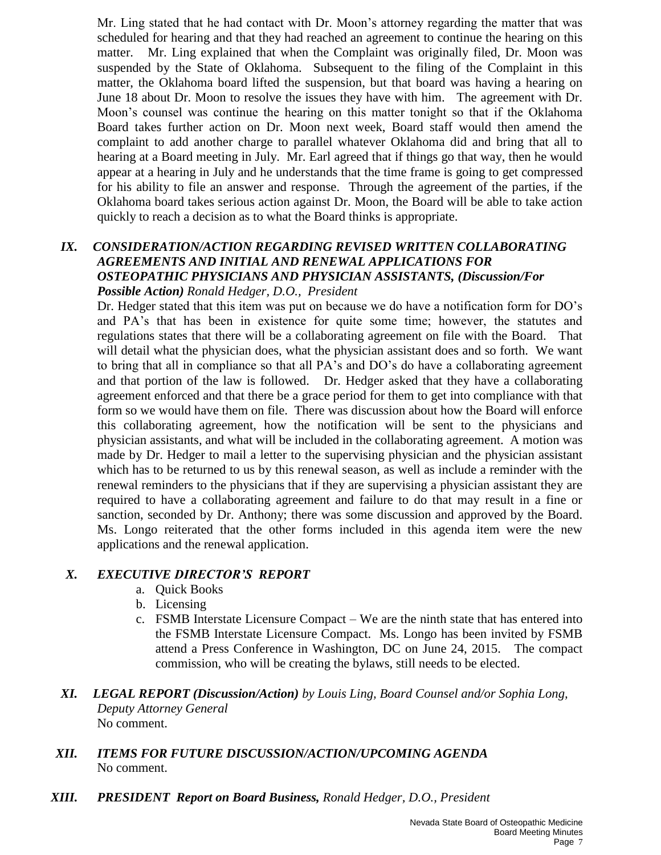Mr. Ling stated that he had contact with Dr. Moon's attorney regarding the matter that was scheduled for hearing and that they had reached an agreement to continue the hearing on this matter. Mr. Ling explained that when the Complaint was originally filed, Dr. Moon was suspended by the State of Oklahoma. Subsequent to the filing of the Complaint in this matter, the Oklahoma board lifted the suspension, but that board was having a hearing on June 18 about Dr. Moon to resolve the issues they have with him. The agreement with Dr. Moon's counsel was continue the hearing on this matter tonight so that if the Oklahoma Board takes further action on Dr. Moon next week, Board staff would then amend the complaint to add another charge to parallel whatever Oklahoma did and bring that all to hearing at a Board meeting in July. Mr. Earl agreed that if things go that way, then he would appear at a hearing in July and he understands that the time frame is going to get compressed for his ability to file an answer and response. Through the agreement of the parties, if the Oklahoma board takes serious action against Dr. Moon, the Board will be able to take action quickly to reach a decision as to what the Board thinks is appropriate.

## *IX. CONSIDERATION/ACTION REGARDING REVISED WRITTEN COLLABORATING AGREEMENTS AND INITIAL AND RENEWAL APPLICATIONS FOR OSTEOPATHIC PHYSICIANS AND PHYSICIAN ASSISTANTS, (Discussion/For Possible Action) Ronald Hedger, D.O., President*

Dr. Hedger stated that this item was put on because we do have a notification form for DO's and PA's that has been in existence for quite some time; however, the statutes and regulations states that there will be a collaborating agreement on file with the Board. That will detail what the physician does, what the physician assistant does and so forth. We want to bring that all in compliance so that all PA's and DO's do have a collaborating agreement and that portion of the law is followed. Dr. Hedger asked that they have a collaborating agreement enforced and that there be a grace period for them to get into compliance with that form so we would have them on file. There was discussion about how the Board will enforce this collaborating agreement, how the notification will be sent to the physicians and physician assistants, and what will be included in the collaborating agreement. A motion was made by Dr. Hedger to mail a letter to the supervising physician and the physician assistant which has to be returned to us by this renewal season, as well as include a reminder with the renewal reminders to the physicians that if they are supervising a physician assistant they are required to have a collaborating agreement and failure to do that may result in a fine or sanction, seconded by Dr. Anthony; there was some discussion and approved by the Board. Ms. Longo reiterated that the other forms included in this agenda item were the new applications and the renewal application.

## *X. EXECUTIVE DIRECTOR'S REPORT*

- a. Quick Books
- b. Licensing
- c. FSMB Interstate Licensure Compact We are the ninth state that has entered into the FSMB Interstate Licensure Compact. Ms. Longo has been invited by FSMB attend a Press Conference in Washington, DC on June 24, 2015. The compact commission, who will be creating the bylaws, still needs to be elected.
- *XI. LEGAL REPORT (Discussion/Action) by Louis Ling, Board Counsel and/or Sophia Long, Deputy Attorney General*  No comment.
- *XII. ITEMS FOR FUTURE DISCUSSION/ACTION/UPCOMING AGENDA* No comment.
- *XIII. PRESIDENT Report on Board Business, Ronald Hedger, D.O., President*